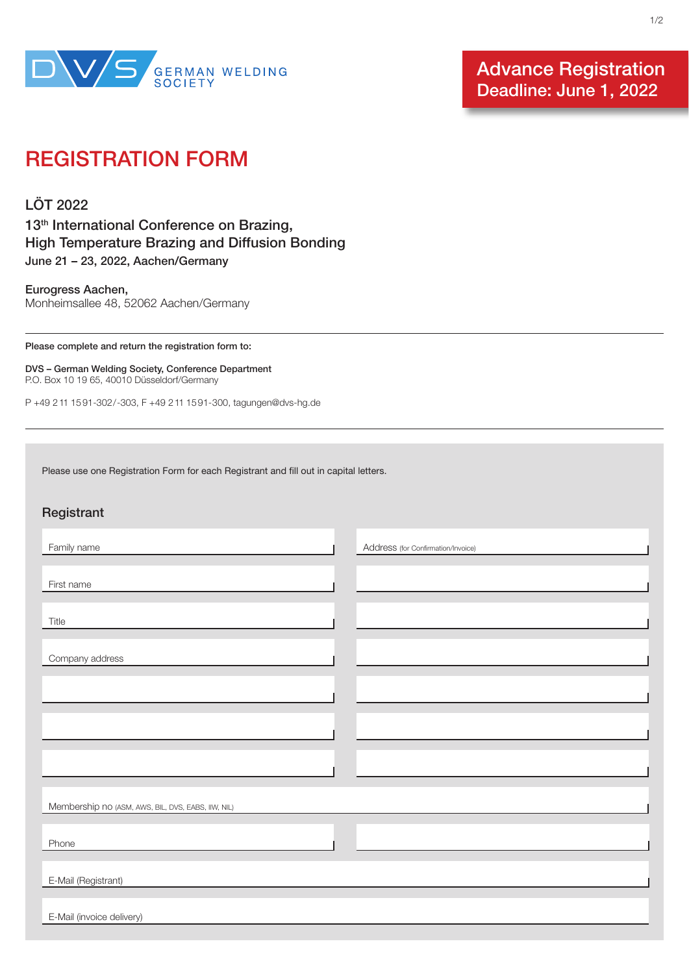

Advance Registration Deadline: June 1, 2022

## REGISTRATION FORM

LÖT 2022 13<sup>th</sup> International Conference on Brazing, High Temperature Brazing and Diffusion Bonding June 21 – 23, 2022, Aachen/Germany

Eurogress Aachen, Monheimsallee 48, 52062 Aachen/Germany

Please complete and return the registration form to:

Registrant

DVS – German Welding Society, Conference Department P.O. Box 10 19 65, 40010 Düsseldorf/Germany

P +49 2 11 15 91-302/-303, F +49 2 11 15 91-300, tagungen@dvs-hg.de

Please use one Registration Form for each Registrant and fill out in capital letters.

| Registrant                                         |                                    |
|----------------------------------------------------|------------------------------------|
| Family name                                        | Address (for Confirmation/Invoice) |
| First name                                         |                                    |
| Title                                              |                                    |
|                                                    |                                    |
| Company address                                    |                                    |
|                                                    |                                    |
|                                                    |                                    |
|                                                    |                                    |
| Membership no (ASM, AWS, BIL, DVS, EABS, IIW, NIL) |                                    |
| Phone                                              |                                    |
|                                                    |                                    |
| E-Mail (Registrant)                                |                                    |
| E-Mail (invoice delivery)                          |                                    |